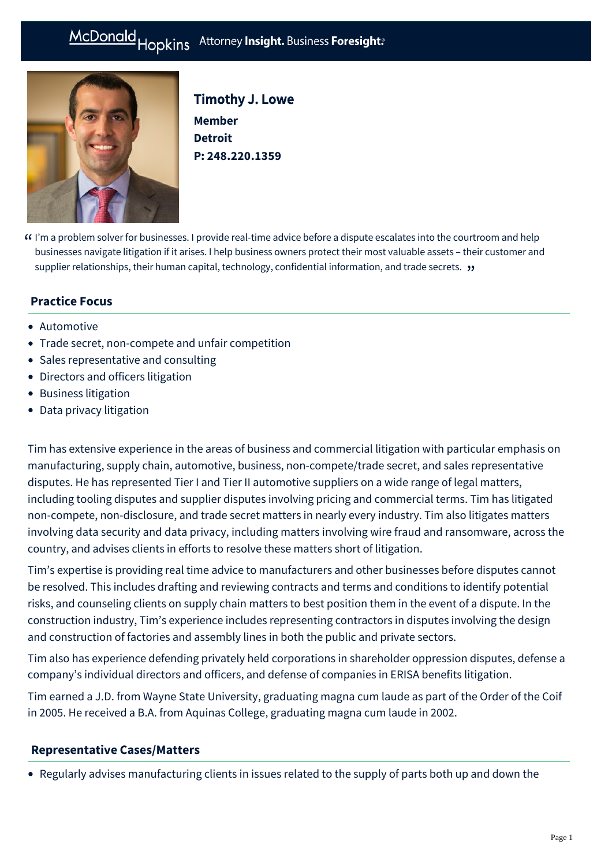# McDonald Hopkins Attorney Insight. Business Foresight:



Timothy J. Lowe **Member Detroit P: [248.220.1359](tel:248.220.1359)**

I'm a problem solver for businesses. I provide real-time advice before a dispute escalates into the courtroom and help " businesses navigate litigation if it arises. I help business owners protect their most valuable assets – their customer and supplier relationships, their human capital, technology, confidential information, and trade secrets. "

# **Practice Focus**

- [Automotive](https://mcdonaldhopkins.com/Expertise/Industries/Automotive)
- [Trade secret, non-compete and unfair competition](https://mcdonaldhopkins.com/Expertise/Litigation/Tradesecret-noncompete-unfair-competition)
- [Sales representative and consulting](https://mcdonaldhopkins.com/Expertise/Litigation/Sales-representative-and-consulting)
- [Directors and officers litigation](https://mcdonaldhopkins.com/Expertise/Litigation/Directors-and-officers-litigation)
- [Business litigation](https://mcdonaldhopkins.com/Expertise/Litigation/Business-litigation)
- [Data privacy litigation](https://mcdonaldhopkins.com/Expertise/Data-privacy-and-cybersecurity/Data-privacy-litigation)

Tim has extensive experience in the areas of business and commercial litigation with particular emphasis on manufacturing, supply chain, automotive, business, non-compete/trade secret, and sales representative disputes. He has represented Tier I and Tier II automotive suppliers on a wide range of legal matters, including tooling disputes and supplier disputes involving pricing and commercial terms. Tim has litigated non-compete, non-disclosure, and trade secret matters in nearly every industry. Tim also litigates matters involving data security and data privacy, including matters involving wire fraud and ransomware, across the country, and advises clients in efforts to resolve these matters short of litigation.

Tim's expertise is providing real time advice to manufacturers and other businesses before disputes cannot be resolved. This includes drafting and reviewing contracts and terms and conditions to identify potential risks, and counseling clients on supply chain matters to best position them in the event of a dispute. In the construction industry, Tim's experience includes representing contractors in disputes involving the design and construction of factories and assembly lines in both the public and private sectors.

Tim also has experience defending privately held corporations in shareholder oppression disputes, defense a company's individual directors and officers, and defense of companies in ERISA benefits litigation.

Tim earned a J.D. from Wayne State University, graduating magna cum laude as part of the Order of the Coif in 2005. He received a B.A. from Aquinas College, graduating magna cum laude in 2002.

## **[Representative Cases/Matters](#page-0-0)**

<span id="page-0-0"></span>Regularly advises manufacturing clients in issues related to the supply of parts both up and down the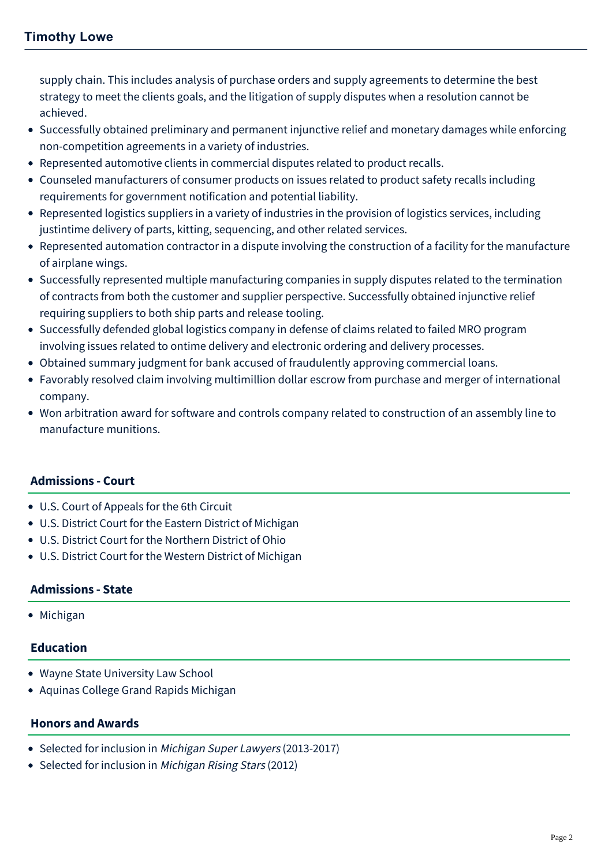supply chain. This includes analysis of purchase orders and supply agreements to determine the best strategy to meet the clients goals, and the litigation of supply disputes when a resolution cannot be achieved.

- Successfully obtained preliminary and permanent injunctive relief and monetary damages while enforcing non-competition agreements in a variety of industries.
- Represented automotive clients in commercial disputes related to product recalls.
- Counseled manufacturers of consumer products on issues related to product safety recalls including requirements for government notification and potential liability.
- Represented logistics suppliers in a variety of industries in the provision of logistics services, including justintime delivery of parts, kitting, sequencing, and other related services.
- Represented automation contractor in a dispute involving the construction of a facility for the manufacture of airplane wings.
- Successfully represented multiple manufacturing companies in supply disputes related to the termination of contracts from both the customer and supplier perspective. Successfully obtained injunctive relief requiring suppliers to both ship parts and release tooling.
- Successfully defended global logistics company in defense of claims related to failed MRO program involving issues related to ontime delivery and electronic ordering and delivery processes.
- Obtained summary judgment for bank accused of fraudulently approving commercial loans.
- Favorably resolved claim involving multimillion dollar escrow from purchase and merger of international company.
- Won arbitration award for software and controls company related to construction of an assembly line to manufacture munitions.

## **Admissions - Court**

- U.S. Court of Appeals for the 6th Circuit
- U.S. District Court for the Eastern District of Michigan
- U.S. District Court for the Northern District of Ohio
- U.S. District Court for the Western District of Michigan

## **Admissions - State**

• Michigan

## **Education**

- Wayne State University Law School
- Aquinas College Grand Rapids Michigan

## **Honors and Awards**

- Selected for inclusion in Michigan Super Lawyers (2013-2017)
- Selected for inclusion in Michigan Rising Stars (2012)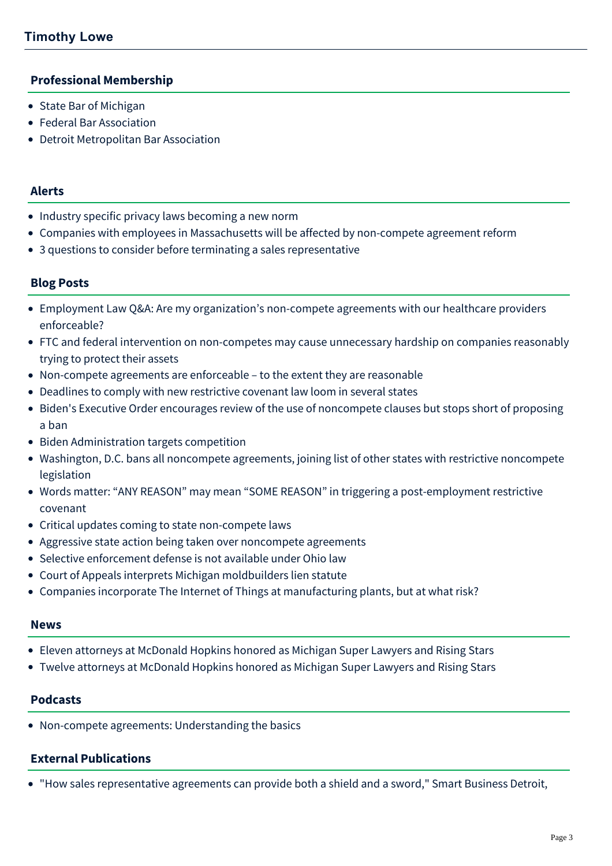## **Professional Membership**

- State Bar of Michigan
- Federal Bar Association
- Detroit Metropolitan Bar Association

#### **Alerts**

- [Industry specific privacy laws becoming a new norm](https://mcdonaldhopkins.com/Insights/February-2021/Industry-specific-privacy-laws-becoming-a-new-norm)
- [Companies with employees in Massachusetts will be affected by non-compete agreement reform](https://mcdonaldhopkins.com/Insights/August-2018/Companies-with-employees-in-Massachusetts-will-be)
- [3 questions to consider before terminating a sales representative](https://mcdonaldhopkins.com/Insights/December-2015/3-questions-to-consider-before-terminating-a-sales)

## **Blog Posts**

- [Employment Law Q&A: Are my organization's non-compete agreements with our healthcare providers](https://mcdonaldhopkins.com/Insights/March-2022/Healthcare-noncompete-agreements-enforceability) enforceable?
- [FTC and federal intervention on non-competes may cause unnecessary hardship on companies reasonably](https://mcdonaldhopkins.com/Insights/January-2022/Lowe-urges-FTC-to-avoid-limiting-non-competes) trying to protect their assets
- [Non-compete agreements are enforceable to the extent they are reasonable](https://mcdonaldhopkins.com/Insights/December-2021/Noncompete-enforceable-if-reasonable)
- [Deadlines to comply with new restrictive covenant law loom in several states](https://mcdonaldhopkins.com/Insights/October-2021/Deadlines-to-comply-with-new-restrictive-covenant)
- [Biden's Executive Order encourages review of the use of noncompete clauses but stops short of proposing](https://mcdonaldhopkins.com/Insights/July-2021/Bidens-Executive-Order-encourages-review-of-the-us) a ban
- [Biden Administration targets competition](https://mcdonaldhopkins.com/Insights/July-2021/Biden-Administration-targets-competition)
- [Washington, D.C. bans all noncompete agreements, joining list of other states with restrictive noncompete](https://mcdonaldhopkins.com/Insights/February-2021/Washington-DC-bans-all-noncompete-agreements-joini) legislation
- [Words matter: "ANY REASON" may mean "SOME REASON" in triggering a post-employment restrictive](https://mcdonaldhopkins.com/Insights/August-2020/Words-matter-in-triggering-post-employment-restric) covenant
- [Critical updates coming to state non-compete laws](https://mcdonaldhopkins.com/Insights/July-2019/Critical-updates-coming-to-state-noncompete-laws)
- [Aggressive state action being taken over noncompete agreements](https://mcdonaldhopkins.com/Insights/November-2017/Aggressive-state-action-being-taken-over-noncompet)
- [Selective enforcement defense is not available under Ohio law](https://mcdonaldhopkins.com/Insights/July-2017/Selective-enforcement-defense-is-not-available-und)
- [Court of Appeals interprets Michigan moldbuilders lien statute](https://mcdonaldhopkins.com/Insights/May-2016/Court-of-Appeals-interprets-Michigan-moldbuilders)
- [Companies incorporate The Internet of Things at manufacturing plants, but at what risk?](https://mcdonaldhopkins.com/Insights/March-2016/Companies-incorporate-The-Internet-of-Things-at-ma)

#### **News**

- [Eleven attorneys at McDonald Hopkins honored as Michigan Super Lawyers and Rising Stars](https://mcdonaldhopkins.com/Insights/September-2017/Eleven-attorneys-at-McDonald-Hopkins-honored-a-(1))
- [Twelve attorneys at McDonald Hopkins honored as Michigan Super Lawyers and Rising Stars](https://mcdonaldhopkins.com/Insights/September-2015/Twelve-attorneys-at-McDonald-Hopkins-honored-as-Mi)

## **Podcasts**

[Non-compete agreements: Understanding the basics](https://mcdonaldhopkins.com/Insights/January-2020/Non-compete-agreements-Understanding-the-basics)

## **External Publications**

"[How sales representative agreements can provide both a shield and a sword,](http://www.sbnonline.com/article/how-sales-representative-agreements-can-provide-both-a-shield-and-a-sword/)" Smart Business Detroit,